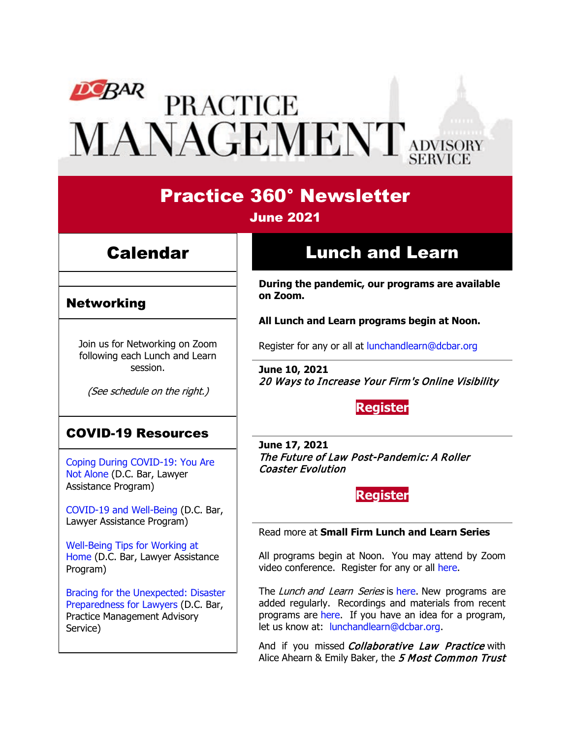# DEBAR PRACTICE<br>MANAGEMENT ADVISORY

# Practice 360° Newsletter

## June 2021

# Calendar

## Networking

Join us for Networking on Zoom following each Lunch and Learn session.

(See schedule on the right.)

## COVID-19 Resources

[Coping During COVID-19: You Are](https://www.dcbar.org/news-events/news/coping-during-covid-19-you-are-not-alone?utm_source=Real%20Magnet&utm_medium=INSERT_CHANNEL&utm_campaign=INSERT_LINK_ID)  [Not Alone](https://www.dcbar.org/news-events/news/coping-during-covid-19-you-are-not-alone?utm_source=Real%20Magnet&utm_medium=INSERT_CHANNEL&utm_campaign=INSERT_LINK_ID) (D.C. Bar, Lawyer Assistance Program)

[COVID-19 and Well-Being](https://dcbarcms-uat3.i3digital.com/DCBar/i3Base/DCBar/For%20Lawyers/Lawyer%20Assistance%20Program/PDFs/covid-19-and-well-being.pdf) (D.C. Bar, Lawyer Assistance Program)

[Well-Being Tips for Working at](https://dcbarcms-uat3.i3digital.com/DCBar/i3Base/DCBar/For%20Lawyers/Lawyer%20Assistance%20Program/PDFs/Wellness-Tips-Working-From-Home.pdf)  [Home](https://dcbarcms-uat3.i3digital.com/DCBar/i3Base/DCBar/For%20Lawyers/Lawyer%20Assistance%20Program/PDFs/Wellness-Tips-Working-From-Home.pdf) (D.C. Bar, Lawyer Assistance Program)

[Bracing for the Unexpected: Disaster](https://www.dcbar.org/news-events/news/bracing-for-the-unexpected-disaster-preparedness-f?utm_source=Real%20Magnet&utm_medium=INSERT_CHANNEL&utm_campaign=INSERT_LINK_ID)  [Preparedness for Lawyers](https://www.dcbar.org/news-events/news/bracing-for-the-unexpected-disaster-preparedness-f?utm_source=Real%20Magnet&utm_medium=INSERT_CHANNEL&utm_campaign=INSERT_LINK_ID) (D.C. Bar, Practice Management Advisory Service)

# Lunch and Learn

**During the pandemic, our programs are available on Zoom.**

**All Lunch and Learn programs begin at Noon.**

Register for any or all at [lunchandlearn@dcbar.org](mailto:lunchandlearn@dcbar.org?subject=Lunch%20and%20Learn)

**June 10, 2021** 20 Ways to Increase Your Firm's Online Visibility

**[Register](https://dcbar.inreachce.com/Details/Information/b2568366-e0d4-48be-92e9-842f917f75f5)**

**June 17, 2021** The Future of Law Post-Pandemic: A Roller Coaster Evolution

**[Register](https://dcbar.inreachce.com/Details/Information/766c82ff-58f7-4ae0-8c0b-726ba1a01fc5)**

#### Read more at **[Small Firm Lunch](https://www.dcbar.org/for-lawyers/practice-management-advisory-service/courses-and-trainings/small-firm-lunch-and-learn-series?utm_source=Real%20Magnet&utm_medium=INSERT_CHANNEL&utm_campaign=INSERT_LINK_ID) and Learn Series**

All programs begin at Noon. You may attend by Zoom video conference. Register for any or all [here.](https://www.dcbar.org/for-lawyers/practice-management-advisory-service/courses-and-trainings/small-firm-lunch-and-learn-series?utm_source=Real%20Magnet&utm_medium=INSERT_CHANNEL&utm_campaign=INSERT_LINK_ID)

The Lunch and Learn Series is [here.](https://www.dcbar.org/for-lawyers/practice-management-advisory-service/courses-and-trainings/small-firm-lunch-and-learn-series?utm_source=Real%20Magnet&utm_medium=INSERT_CHANNEL&utm_campaign=INSERT_LINK_ID) New programs are added regularly. Recordings and materials from recent programs are [here.](https://www.dcbar.org/for-lawyers/practice-management-advisory-service/courses-and-trainings/small-firm-lunch-and-learn-series/past-lunch-and-learn-programs?utm_source=Real%20Magnet&utm_medium=INSERT_CHANNEL&utm_campaign=INSERT_LINK_ID) If you have an idea for a program, let us know at: [lunchandlearn@dcbar.org.](mailto:lunchandlearn@dcbar.org)

And if you missed *Collaborative Law Practice* with Alice Ahearn & Emily Baker, the 5 Most Common Trust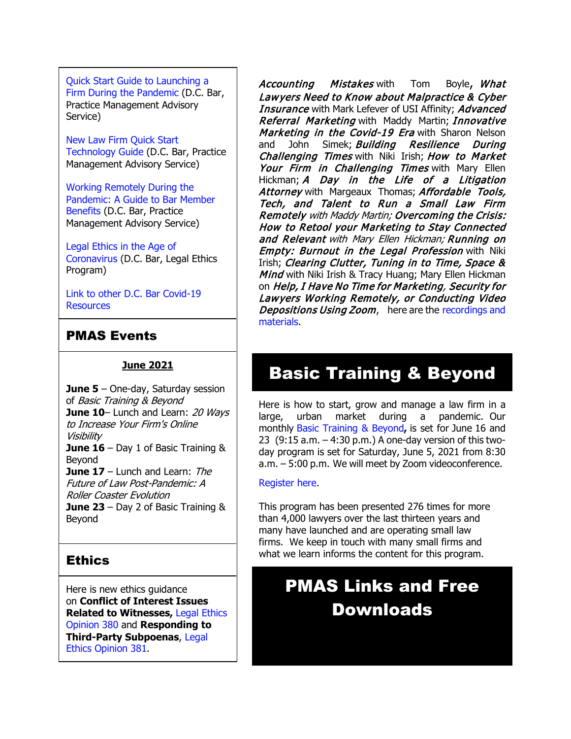[Quick Start Guide to Launching a](https://www.dcbar.org/getmedia/d28b7c4b-3dcb-419e-828d-fdc2340588f9/Career-disruption-setting-up-a-law-firm-quickly-resources?utm_source=Real%20Magnet&utm_medium=INSERT_CHANNEL&utm_campaign=INSERT_LINK_ID)  [Firm During the Pandemic](https://www.dcbar.org/getmedia/d28b7c4b-3dcb-419e-828d-fdc2340588f9/Career-disruption-setting-up-a-law-firm-quickly-resources?utm_source=Real%20Magnet&utm_medium=INSERT_CHANNEL&utm_campaign=INSERT_LINK_ID) (D.C. Bar, Practice Management Advisory Service)

[New Law Firm Quick Start](https://www.dcbar.org/getmedia/34a3addd-9a13-4fc7-8e68-fbc2be8b50e0/Quick-start-Tech-Guide-final?utm_source=Real%20Magnet&utm_medium=INSERT_CHANNEL&utm_campaign=INSERT_LINK_ID)  [Technology Guide](https://www.dcbar.org/getmedia/34a3addd-9a13-4fc7-8e68-fbc2be8b50e0/Quick-start-Tech-Guide-final?utm_source=Real%20Magnet&utm_medium=INSERT_CHANNEL&utm_campaign=INSERT_LINK_ID) (D.C. Bar, Practice Management Advisory Service)

[Working Remotely During the](https://www.dcbar.org/news-events/news/working-remotely-during-the-pandemic-a-guide-to-ba?utm_source=Real%20Magnet&utm_medium=INSERT_CHANNEL&utm_campaign=INSERT_LINK_ID)  [Pandemic: A Guide to Bar Member](https://www.dcbar.org/news-events/news/working-remotely-during-the-pandemic-a-guide-to-ba?utm_source=Real%20Magnet&utm_medium=INSERT_CHANNEL&utm_campaign=INSERT_LINK_ID)  [Benefits](https://www.dcbar.org/news-events/news/working-remotely-during-the-pandemic-a-guide-to-ba?utm_source=Real%20Magnet&utm_medium=INSERT_CHANNEL&utm_campaign=INSERT_LINK_ID) (D.C. Bar, Practice Management Advisory Service)

[Legal Ethics in the Age of](https://www.dcbar.org/news-events/news/legal-ethics-in-the-age-of-the-coronavirus?utm_source=Real%20Magnet&utm_medium=INSERT_CHANNEL&utm_campaign=INSERT_LINK_ID)  [Coronavirus](https://www.dcbar.org/news-events/news/legal-ethics-in-the-age-of-the-coronavirus?utm_source=Real%20Magnet&utm_medium=INSERT_CHANNEL&utm_campaign=INSERT_LINK_ID) (D.C. Bar, Legal Ethics Program)

[Link to other D.C.](https://www.dcbar.org/for-lawyers/membership/covid-19-resources?utm_source=Real%20Magnet&utm_medium=INSERT_CHANNEL&utm_campaign=INSERT_LINK_ID) Bar Covid-19 **[Resources](https://www.dcbar.org/for-lawyers/membership/covid-19-resources?utm_source=Real%20Magnet&utm_medium=INSERT_CHANNEL&utm_campaign=INSERT_LINK_ID)** 

## PMAS Events

#### **June 2021**

**June 5** – One-day, Saturday session of Basic Training & Beyond **June 10**– Lunch and Learn: 20 Wavs to Increase Your Firm's Online Visibility **June 16** – Day 1 of Basic Training & Beyond **June 17** – Lunch and Learn: The Future of Law Post-Pandemic: A Roller Coaster Evolution **June 23** – Day 2 of Basic Training & Beyond

## **Ethics**

Here is new ethics guidance on **Conflict of Interest Issues Related to Witnesses,** [Legal Ethics](https://www.dcbar.org/getmedia/157836df-95d6-423c-b928-3dd1ce946c3b/opinion_380-(1)?utm_source=Real%20Magnet&utm_medium=INSERT_CHANNEL&utm_campaign=INSERT_LINK_ID)  [Opinion 380](https://www.dcbar.org/getmedia/157836df-95d6-423c-b928-3dd1ce946c3b/opinion_380-(1)?utm_source=Real%20Magnet&utm_medium=INSERT_CHANNEL&utm_campaign=INSERT_LINK_ID) and **Responding to Third-Party Subpoenas**, [Legal](https://www.dcbar.org/getmedia/841cc5e4-dffc-4da0-bc1a-b96e7f48f100/opinion_381?utm_source=Real%20Magnet&utm_medium=INSERT_CHANNEL&utm_campaign=INSERT_LINK_ID)  [Ethics Opinion 381.](https://www.dcbar.org/getmedia/841cc5e4-dffc-4da0-bc1a-b96e7f48f100/opinion_381?utm_source=Real%20Magnet&utm_medium=INSERT_CHANNEL&utm_campaign=INSERT_LINK_ID)

Accounting Mistakes with Tom Boyle, What Lawyers Need to Know about Malpractice & Cyber **Insurance** with Mark Lefever of USI Affinity; **Advanced** Referral Marketing with Maddy Martin; Innovative Marketing in the Covid-19 Era with Sharon Nelson and John Simek; **Building Resilience During** Challenging Times with Niki Irish; How to Market Your Firm in Challenging Times with Mary Ellen Hickman; A Day in the Life of a Litigation Attorney with Margeaux Thomas; Affordable Tools, Tech, and Talent to Run a Small Law Firm Remotely with Maddy Martin; Overcoming the Crisis: How to Retool your Marketing to Stay Connected and Relevant with Mary Ellen Hickman; Running on **Empty: Burnout in the Legal Profession with Niki** Irish; Clearing Clutter, Tuning in to Time, Space & Mind with Niki Irish & Tracy Huang; Mary Ellen Hickman on Help, I Have No Time for Marketing, Security for Lawyers Working Remotely, or Conducting Video Depositions Using Zoom, here are the recordings and [materials.](https://www.dcbar.org/for-lawyers/practice-management-advisory-service/courses-and-trainings/small-firm-lunch-and-learn-series/past-lunch-and-learn-programs?utm_source=Real%20Magnet&utm_medium=INSERT_CHANNEL&utm_campaign=INSERT_LINK_ID)

## Basic Training & Beyond

Here is how to start, grow and manage a law firm in a large, urban market during a pandemic. Our monthly [Basic Training & Beyond](http://www.mmsend31.com/link.cfm?r=zvkjaWqFFUTRz65Avl-Ftw%7E%7E&pe=c3ph7NU-Re1l6uj-xoZC_Nqnf2HGTrpIRRfl_qZmlgZN_I06rShTZ-AlGs0Wp7CGgKUozsdU2izsioLhmXaRbg%7E%7E&t=prXb-jowJMuBRf73r4YKRA%7E%7E)**,** is set for June 16 and 23 (9:15 a.m. – 4:30 p.m.) A one-day version of this twoday program is set for Saturday, June 5, 2021 from 8:30 a.m. – 5:00 p.m. We will meet by Zoom videoconference.

#### [Register](http://www.mmsend31.com/link.cfm?r=zvkjaWqFFUTRz65Avl-Ftw%7E%7E&pe=BxjSlIjTK_3i3Os02s37pODjnSEaSaIBfLm0UarKy-K07-G29KY0F7SoVNdKQgSYIVrXVvuyFBcMiPY5X35JOA%7E%7E&t=prXb-jowJMuBRf73r4YKRA%7E%7E) here.

This program has been presented 276 times for more than 4,000 lawyers over the last thirteen years and many have launched and are operating small law firms. We keep in touch with many small firms and what we learn informs the content for this program.

# PMAS Links and Free Downloads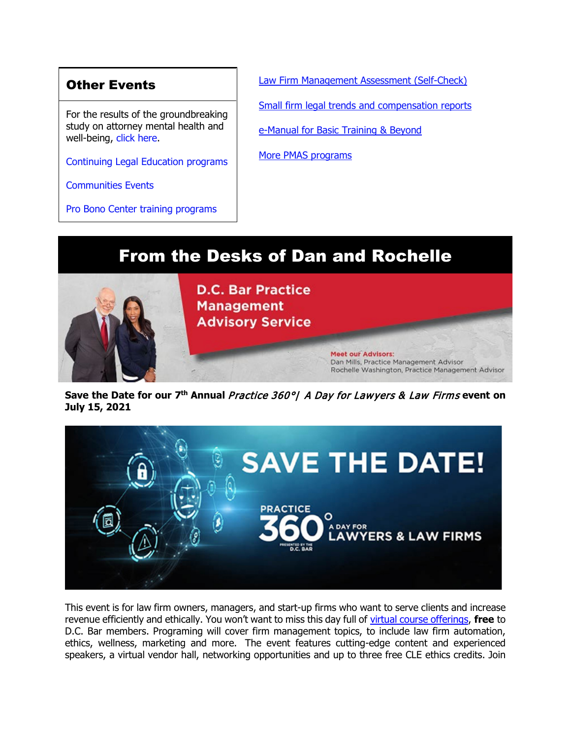## Other Events

For the results of the groundbreaking study on attorney mental health and well-being, [click here.](https://www.dcbar.org/news-events/news/california-lawyers-association-and-the-d-c-bar-ann?utm_source=Real%20Magnet&utm_medium=INSERT_CHANNEL&utm_campaign=INSERT_LINK_ID)

[Continuing Legal Education programs](https://dcbar.inreachce.com/SearchResults?searchType=1&category=b7426509-0fca-4650-bf8a-8c9ace05de88)

[Communities Events](https://join.dcbar.org/eweb/DynamicPage.aspx?site=dcbar&webcode=EventList&utm_source=Real%20Magnet&utm_medium=INSERT_CHANNEL&utm_campaign=INSERT_LINK_ID)

[Pro Bono Center training programs](https://www.dcbar.org/pro-bono/resources-and-training/pro-bono-center-training-program?utm_source=Real%20Magnet&utm_medium=INSERT_CHANNEL&utm_campaign=INSERT_LINK_ID)

[Law Firm Management Assessment \(Self-Check\)](https://www.dcbar.org/for-lawyers/practice-management-advisory-service/practice-tips-and-compliance/self-check?utm_source=Real%20Magnet&utm_medium=INSERT_CHANNEL&utm_campaign=INSERT_LINK_ID) [Small firm legal trends and compensation reports](https://www.dcbar.org/for-lawyers/practice-management-advisory-service/courses-and-trainings/basic-training-beyond/basic-training-beyond-supplements?utm_source=Real%20Magnet&utm_medium=INSERT_CHANNEL&utm_campaign=INSERT_LINK_ID) [e-Manual for Basic Training & Beyond](https://documentcloud.adobe.com/link/review?uri=urn:aaid:scds:US:2182dc5f-4a8c-435d-bb76-280eddc57a6d)

[More PMAS programs](https://www.dcbar.org/for-lawyers/practice-management-advisory-service/courses-and-trainings?utm_source=Real%20Magnet&utm_medium=INSERT_CHANNEL&utm_campaign=INSERT_LINK_ID)

# From the Desks of Dan and Rochelle



**Save the Date for our 7th Annual** Practice 360°| A Day for Lawyers & Law Firms **event on July 15, 2021**



This event is for law firm owners, managers, and start-up firms who want to serve clients and increase revenue efficiently and ethically. You won't want to miss this day full of [virtual course offerings,](https://www.dcbar.org/for-lawyers/practice-management-advisory-service/courses-and-trainings/practice-360%C2%B0/2021-practice-360-program-listing/seminar-descriptions?utm_source=Real%20Magnet&utm_medium=INSERT_CHANNEL&utm_campaign=INSERT_LINK_ID) **free** to D.C. Bar members. Programing will cover firm management topics, to include law firm automation, ethics, wellness, marketing and more. The event features cutting-edge content and experienced speakers, a virtual vendor hall, networking opportunities and up to three free CLE ethics credits. Join